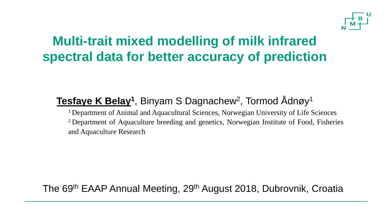

## **Multi-trait mixed modelling of milk infrared spectral data for better accuracy of prediction**

#### **<u>Tesfaye K Belay</u><sup>1</sup>, Binyam S Dagnachew<sup>2</sup>, Tormod Ådnøy<sup>1</sup>**

<sup>1</sup> Department of Animal and Aquacultural Sciences, Norwegian University of Life Sciences <sup>2</sup> Department of Aquaculture breeding and genetics, Norwegian Institute of Food, Fisheries and Aquaculture Research

#### The 69th EAAP Annual Meeting, 29th August 2018, Dubrovnik, Croatia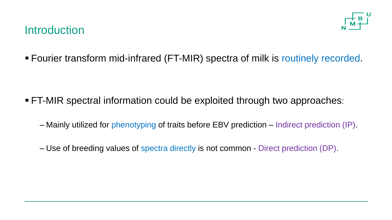#### **Introduction**



■ Fourier transform mid-infrared (FT-MIR) spectra of milk is routinely recorded.

- FT-MIR spectral information could be exploited through two approaches:
	- Mainly utilized for phenotyping of traits before EBV prediction Indirect prediction (IP).
	- Use of breeding values of spectra directly is not common Direct prediction (DP).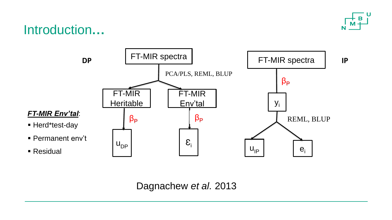

#### Introduction**…**



Dagnachew *et al.* 2013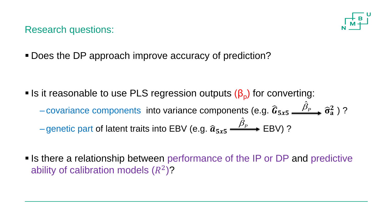

Research questions:

■ Does the DP approach improve accuracy of prediction?

**•** Is it reasonable to use PLS regression outputs  $(β<sub>p</sub>)$  for converting:  $\hat{B}_{\mathbf{r}}$   $\sim$ 

– covariance components into variance components (e.g.  $\widehat{G}_{5x5} \overset{\beta_p}{\longrightarrow} \widehat{\sigma}_a^2$  ) ?  $\beta_{\rm\scriptscriptstyle P}$  . ERV)  $\hat{c}$ 

– genetic part of latent traits into EBV (e.g.  $\widehat{a}_{5x5} \xrightarrow{P_P}$  EBV) ?

**Example 2 relationship between performance of the IP or DP and predictive** ability of calibration models  $(R^2)$ ?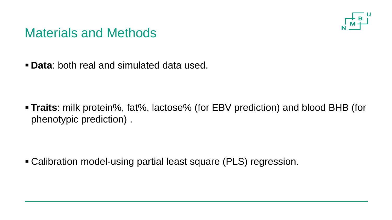

#### Materials and Methods

▪ **Data**: both real and simulated data used.

▪ **Traits**: milk protein%, fat%, lactose% (for EBV prediction) and blood BHB (for phenotypic prediction) .

▪ Calibration model-using partial least square (PLS) regression.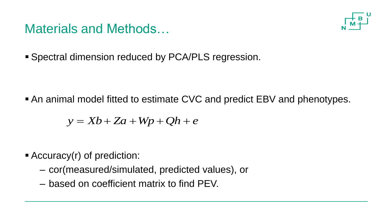#### Materials and Methods…



**E** Spectral dimension reduced by PCA/PLS regression.

■ An animal model fitted to estimate CVC and predict EBV and phenotypes.

$$
y = Xb + Za + Wp + Qh + e
$$

- Accuracy(r) of prediction:
	- cor(measured/simulated, predicted values), or
	- based on coefficient matrix to find PEV.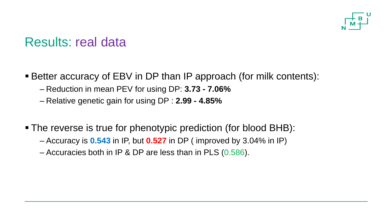

#### Results: real data

- Better accuracy of EBV in DP than IP approach (for milk contents):
	- Reduction in mean PEV for using DP: **3.73 - 7.06%**
	- Relative genetic gain for using DP : **2.99 - 4.85%**
- The reverse is true for phenotypic prediction (for blood BHB):
	- Accuracy is **0.543** in IP, but **0.527** in DP ( improved by 3.04% in IP)
	- Accuracies both in IP & DP are less than in PLS (0.586).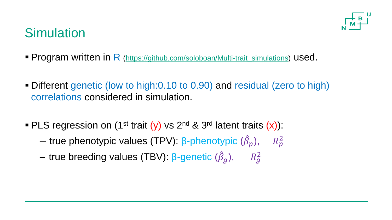

## **Simulation**

- **Program written in R** [\(https://github.com/soloboan/Multi-trait\\_simulations](https://github.com/soloboan/Multi-trait_simulations)) used.
- Different genetic (low to high:0.10 to 0.90) and residual (zero to high) correlations considered in simulation.
- **PLS regression on (1<sup>st</sup> trait (y)** vs 2<sup>nd</sup> & 3<sup>rd</sup> latent traits  $(x)$ ):
	- true phenotypic values (TPV): β-phenotypic  $(\hat{\beta}_p)$ , and  $R_p^2$
	- true breeding values (TBV): β-genetic  $(\hat{\beta}_g)$ , and  $R_g^2$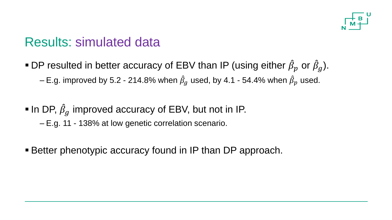

#### Results: simulated data

- **•** DP resulted in better accuracy of EBV than IP (using either  $\hat{\beta}_p$  or  $\hat{\beta}_g$ ).  $-$  E.g. improved by 5.2 - 214.8% when  $\hat{\beta}_g$  used, by 4.1 - 54.4% when  $\hat{\beta}_p$  used.
- $\blacksquare$  In DP,  $\hat{\beta}_g$  improved accuracy of EBV, but not in IP. – E.g. 11 - 138% at low genetic correlation scenario.
- **EXECTE:** Better phenotypic accuracy found in IP than DP approach.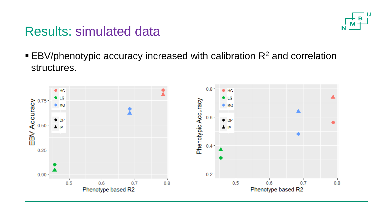# U

### Results: simulated data

 $\blacktriangleright$  EBV/phenotypic accuracy increased with calibration  $\mathsf{R}^2$  and correlation structures.

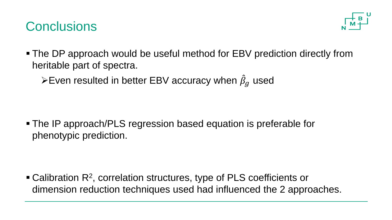### **Conclusions**



• The DP approach would be useful method for EBV prediction directly from heritable part of spectra.

 $\triangleright$  Even resulted in better EBV accuracy when  $\hat{\beta}_g$  used

■ The IP approach/PLS regression based equation is preferable for phenotypic prediction.

 $\blacksquare$  Calibration R<sup>2</sup>, correlation structures, type of PLS coefficients or dimension reduction techniques used had influenced the 2 approaches.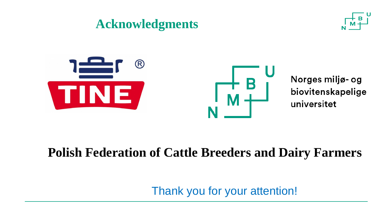#### **Acknowledgments**





Norges miljø- og biovitenskapelige universitet

### **Polish Federation of Cattle Breeders and Dairy Farmers**

Thank you for your attention!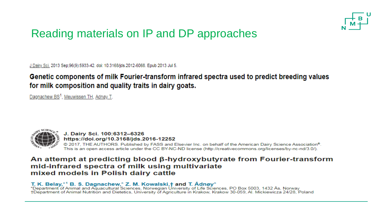

#### Reading materials on IP and DP approaches

J Dairy Sci. 2013 Sep:96(9):5933-42, doi: 10.3168/jds.2012-6068. Epub 2013 Jul 5.

#### Genetic components of milk Fourier-transform infrared spectra used to predict breeding values for milk composition and quality traits in dairy goats.

Dagnachew BS<sup>1</sup>, Meuwissen TH, Adnøy T.



J. Dairy Sci. 100:6312-6326 https://doi.org/10.3168/jds.2016-12252 @ 2017, THE AUTHORS. Published by FASS and Elsevier Inc. on behalf of the American Dairy Science Association®. This is an open access article under the CC BY-NC-ND license (http://creativecommons.org/licenses/by-nc-nd/3.0/).

#### An attempt at predicting blood  $\beta$ -hydroxybutyrate from Fourier-transform mid-infrared spectra of milk using multivariate mixed models in Polish dairy cattle

T. K. Belay,\*1 B. S. Dagnachew,\* Z. M. Kowalski,† and T. Ådnøy\*<br>\*Department of Animal and Aquacultural Sciences, Norwegian University of Life Sciences, PO Box 5003, 1432 Ås, Norway +Department of Animal Nutrition and Dietetics, University of Agriculture in Krakow, Krakow 30-059, Al. Mickiewicza 24/28, Poland